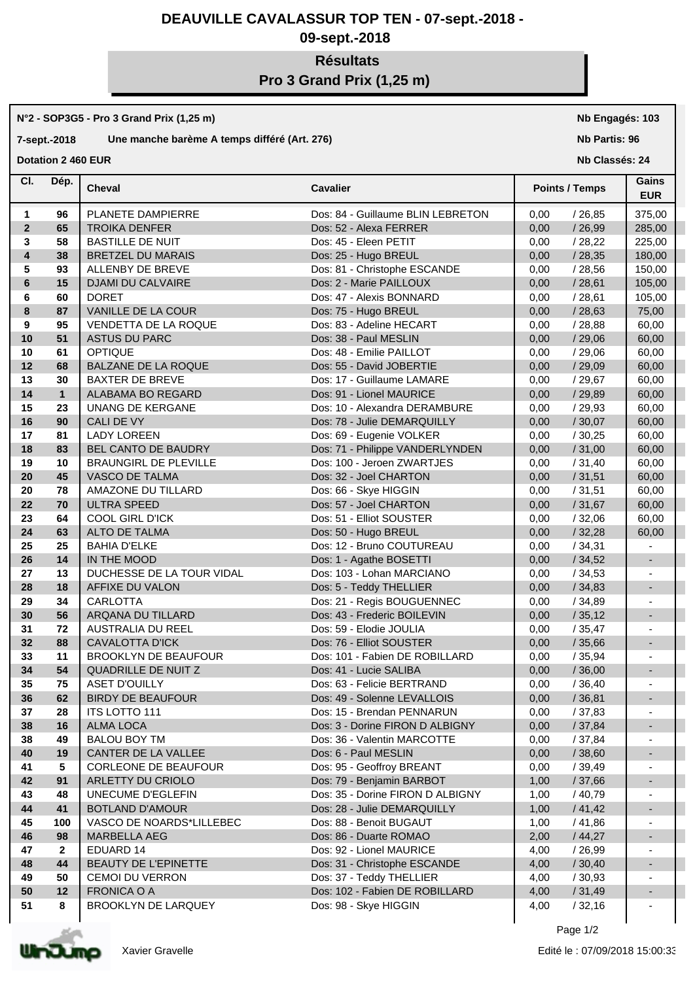# **DEAUVILLE CAVALASSUR TOP TEN - 07-sept.-2018 -**

# **09-sept.-2018**

# **Résultats Pro 3 Grand Prix (1,25 m)**

#### **N°2 - SOP3G5 - Pro 3 Grand Prix (1,25 m)**

# **7-sept.-2018 Une manche barème A temps différé (Art. 276)**

**Dotation 2 460 EUR** 

## **Nb Engagés: 103**

**Nb Partis: 96**

**Nb Classés: 24** 

| CI.                     | Dép.         | <b>Cheval</b>               | <b>Cavalier</b>                   | <b>Points / Temps</b> | Gains<br><b>EUR</b>          |
|-------------------------|--------------|-----------------------------|-----------------------------------|-----------------------|------------------------------|
| 1                       | 96           | PLANETE DAMPIERRE           | Dos: 84 - Guillaume BLIN LEBRETON | 0,00<br>/26,85        | 375,00                       |
| $\overline{2}$          | 65           | <b>TROIKA DENFER</b>        | Dos: 52 - Alexa FERRER            | 0,00<br>/26,99        | 285,00                       |
| 3                       | 58           | <b>BASTILLE DE NUIT</b>     | Dos: 45 - Eleen PETIT             | 0,00<br>/28,22        | 225,00                       |
| $\overline{\mathbf{4}}$ | 38           | <b>BRETZEL DU MARAIS</b>    | Dos: 25 - Hugo BREUL              | 0,00<br>/28,35        | 180,00                       |
| 5                       | 93           | ALLENBY DE BREVE            | Dos: 81 - Christophe ESCANDE      | 0,00<br>/28,56        | 150,00                       |
| 6                       | 15           | DJAMI DU CALVAIRE           | Dos: 2 - Marie PAILLOUX           | /28,61<br>0,00        | 105,00                       |
| 6                       | 60           | <b>DORET</b>                | Dos: 47 - Alexis BONNARD          | /28,61<br>0,00        | 105,00                       |
| 8                       | 87           | VANILLE DE LA COUR          | Dos: 75 - Hugo BREUL              | /28,63<br>0,00        | 75,00                        |
| 9                       | 95           | VENDETTA DE LA ROQUE        | Dos: 83 - Adeline HECART          | 0,00<br>/28,88        | 60,00                        |
| 10                      | 51           | <b>ASTUS DU PARC</b>        | Dos: 38 - Paul MESLIN             | /29,06<br>0,00        | 60,00                        |
| 10                      | 61           | <b>OPTIQUE</b>              | Dos: 48 - Emilie PAILLOT          | 0,00<br>/29,06        | 60,00                        |
| 12                      | 68           | BALZANE DE LA ROQUE         | Dos: 55 - David JOBERTIE          | 0,00<br>/29,09        | 60,00                        |
| 13                      | 30           | <b>BAXTER DE BREVE</b>      | Dos: 17 - Guillaume LAMARE        | 0,00<br>/29,67        | 60,00                        |
| 14                      | $\mathbf{1}$ | ALABAMA BO REGARD           | Dos: 91 - Lionel MAURICE          | 0,00<br>/29,89        | 60,00                        |
| 15                      | 23           | UNANG DE KERGANE            | Dos: 10 - Alexandra DERAMBURE     | 0,00<br>/29,93        | 60,00                        |
| 16                      | 90           | CALI DE VY                  | Dos: 78 - Julie DEMARQUILLY       | /30,07<br>0,00        | 60,00                        |
| 17                      | 81           | <b>LADY LOREEN</b>          | Dos: 69 - Eugenie VOLKER          | 0,00<br>/30,25        | 60,00                        |
| 18                      | 83           | BEL CANTO DE BAUDRY         | Dos: 71 - Philippe VANDERLYNDEN   | /31,00<br>0,00        | 60,00                        |
| 19                      | 10           | BRAUNGIRL DE PLEVILLE       | Dos: 100 - Jeroen ZWARTJES        | /31,40<br>0,00        | 60,00                        |
| 20                      | 45           | VASCO DE TALMA              | Dos: 32 - Joel CHARTON            | 0,00<br>/31,51        | 60,00                        |
| 20                      | 78           | AMAZONE DU TILLARD          | Dos: 66 - Skye HIGGIN             | /31,51<br>0,00        | 60,00                        |
| 22                      | 70           | <b>ULTRA SPEED</b>          | Dos: 57 - Joel CHARTON            | 0,00<br>/31,67        | 60,00                        |
| 23                      | 64           | <b>COOL GIRL D'ICK</b>      | Dos: 51 - Elliot SOUSTER          | 0,00<br>/32,06        | 60,00                        |
| 24                      | 63           | ALTO DE TALMA               | Dos: 50 - Hugo BREUL              | /32,28<br>0,00        | 60,00                        |
| 25                      | 25           | <b>BAHIA D'ELKE</b>         | Dos: 12 - Bruno COUTUREAU         | /34,31<br>0,00        |                              |
| 26                      | 14           | IN THE MOOD                 | Dos: 1 - Agathe BOSETTI           | /34,52<br>0,00        | $\overline{\phantom{a}}$     |
| 27                      | 13           | DUCHESSE DE LA TOUR VIDAL   | Dos: 103 - Lohan MARCIANO         | 0,00<br>/34,53        | $\blacksquare$               |
| 28                      | 18           | AFFIXE DU VALON             | Dos: 5 - Teddy THELLIER           | /34,83<br>0,00        | $\overline{\phantom{a}}$     |
| 29                      | 34           | <b>CARLOTTA</b>             | Dos: 21 - Regis BOUGUENNEC        | 0,00<br>/34,89        | $\blacksquare$               |
| 30                      | 56           | ARQANA DU TILLARD           | Dos: 43 - Frederic BOILEVIN       | 0,00<br>/35,12        | $\overline{\phantom{a}}$     |
| 31                      | 72           | AUSTRALIA DU REEL           | Dos: 59 - Elodie JOULIA           | 0,00<br>/35,47        | $\overline{\phantom{a}}$     |
| 32                      | 88           | <b>CAVALOTTA D'ICK</b>      | Dos: 76 - Elliot SOUSTER          | 0,00<br>/35,66        | $\overline{\phantom{a}}$     |
| 33                      | 11           | <b>BROOKLYN DE BEAUFOUR</b> | Dos: 101 - Fabien DE ROBILLARD    | 0,00<br>/35,94        | $\overline{\phantom{a}}$     |
| 34                      | 54           | <b>QUADRILLE DE NUIT Z</b>  | Dos: 41 - Lucie SALIBA            | 0,00<br>/36,00        | $\blacksquare$               |
| 35                      | 75           | <b>ASET D'OUILLY</b>        | Dos: 63 - Felicie BERTRAND        | 0,00<br>/36,40        | $\overline{\phantom{a}}$     |
| 36                      | 62           | <b>BIRDY DE BEAUFOUR</b>    | Dos: 49 - Solenne LEVALLOIS       | 0,00<br>/36,81        |                              |
| 37                      | 28           | <b>ITS LOTTO 111</b>        | Dos: 15 - Brendan PENNARUN        | /37,83<br>0,00        |                              |
| 38                      | 16           | ALMA LOCA                   | Dos: 3 - Dorine FIRON D ALBIGNY   | /37,84<br>0,00        | ٠                            |
| 38                      | 49           | <b>BALOU BOY TM</b>         | Dos: 36 - Valentin MARCOTTE       | 0,00<br>/ 37,84       |                              |
| 40                      | 19           | CANTER DE LA VALLEE         | Dos: 6 - Paul MESLIN              | 0,00<br>/38,60        | -                            |
| 41                      | 5            | CORLEONE DE BEAUFOUR        | Dos: 95 - Geoffroy BREANT         | 0,00<br>/39,49        |                              |
| 42                      | 91           | ARLETTY DU CRIOLO           | Dos: 79 - Benjamin BARBOT         | 1,00<br>/37,66        |                              |
| 43                      | 48           | UNECUME D'EGLEFIN           | Dos: 35 - Dorine FIRON D ALBIGNY  | 1,00<br>/40,79        |                              |
| 44                      | 41           | <b>BOTLAND D'AMOUR</b>      | Dos: 28 - Julie DEMARQUILLY       | 1,00<br>/41,42        | $\qquad \qquad \blacksquare$ |
| 45                      | 100          | VASCO DE NOARDS*LILLEBEC    | Dos: 88 - Benoit BUGAUT           | / 41,86<br>1,00       |                              |
| 46                      | 98           | <b>MARBELLA AEG</b>         | Dos: 86 - Duarte ROMAO            | 2,00<br>/44,27        | $\qquad \qquad \blacksquare$ |
| 47                      | $\mathbf{2}$ | EDUARD 14                   | Dos: 92 - Lionel MAURICE          | /26,99<br>4,00        |                              |
| 48                      | 44           | BEAUTY DE L'EPINETTE        | Dos: 31 - Christophe ESCANDE      | 4,00<br>/30,40        |                              |
| 49                      | 50           | <b>CEMOI DU VERRON</b>      | Dos: 37 - Teddy THELLIER          | 4,00<br>/30,93        | $\blacksquare$               |
| 50                      | 12           | <b>FRONICA O A</b>          | Dos: 102 - Fabien DE ROBILLARD    | /31,49<br>4,00        |                              |
| 51                      | 8            | <b>BROOKLYN DE LARQUEY</b>  | Dos: 98 - Skye HIGGIN             | /32,16<br>4,00        |                              |
|                         |              |                             |                                   |                       |                              |

Page 1/2